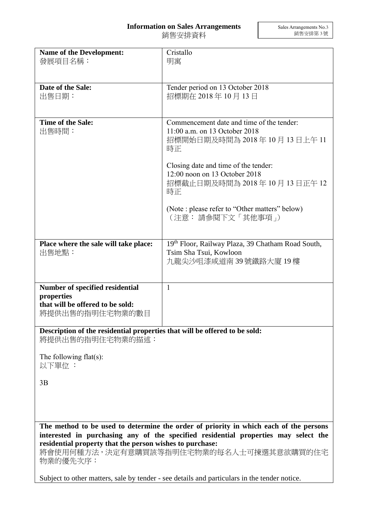## **Information on Sales Arrangements**

銷售安排資料

| <b>Name of the Development:</b><br>發展項目名稱:                                                                                                                                                                                                                                                      | Cristallo<br>明寓                                                                                                   |
|-------------------------------------------------------------------------------------------------------------------------------------------------------------------------------------------------------------------------------------------------------------------------------------------------|-------------------------------------------------------------------------------------------------------------------|
|                                                                                                                                                                                                                                                                                                 |                                                                                                                   |
| Date of the Sale:<br>出售日期:                                                                                                                                                                                                                                                                      | Tender period on 13 October 2018<br>招標期在 2018年10月13日                                                              |
| Time of the Sale:<br>出售時間:                                                                                                                                                                                                                                                                      | Commencement date and time of the tender:<br>11:00 a.m. on 13 October 2018<br>招標開始日期及時間為 2018年 10月 13日上午 11<br>時正 |
|                                                                                                                                                                                                                                                                                                 | Closing date and time of the tender:<br>12:00 noon on 13 October 2018<br>招標截止日期及時間為 2018年 10月 13日正午 12<br>時正      |
|                                                                                                                                                                                                                                                                                                 | (Note : please refer to "Other matters" below)<br>(注意: 請參閱下文「其他事項」)                                               |
| Place where the sale will take place:<br>出售地點:                                                                                                                                                                                                                                                  | 19th Floor, Railway Plaza, 39 Chatham Road South,<br>Tsim Sha Tsui, Kowloon<br>九龍尖沙咀漆咸道南 39 號鐵路大廈 19 樓            |
| Number of specified residential<br>properties<br>that will be offered to be sold:<br>將提供出售的指明住宅物業的數目                                                                                                                                                                                            | $\mathbf{1}$                                                                                                      |
| Description of the residential properties that will be offered to be sold:<br>將提供出售的指明住宅物業的描述:                                                                                                                                                                                                  |                                                                                                                   |
| The following $flat(s)$ :<br>以下單位:                                                                                                                                                                                                                                                              |                                                                                                                   |
| 3B                                                                                                                                                                                                                                                                                              |                                                                                                                   |
|                                                                                                                                                                                                                                                                                                 |                                                                                                                   |
| The method to be used to determine the order of priority in which each of the persons<br>interested in purchasing any of the specified residential properties may select the<br>residential property that the person wishes to purchase:<br>將會使用何種方法,決定有意購買該等指明住宅物業的每名人士可揀選其意欲購買的住宅<br>物業的優先次序: |                                                                                                                   |

Subject to other matters, sale by tender - see details and particulars in the tender notice.